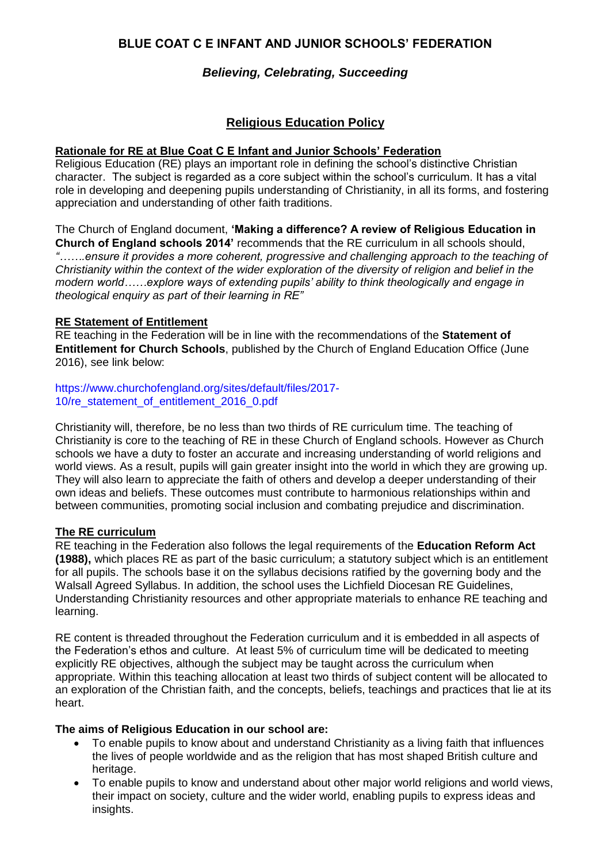# **BLUE COAT C E INFANT AND JUNIOR SCHOOLS' FEDERATION**

## *Believing, Celebrating, Succeeding*

# **Religious Education Policy**

#### **Rationale for RE at Blue Coat C E Infant and Junior Schools' Federation**

Religious Education (RE) plays an important role in defining the school's distinctive Christian character. The subject is regarded as a core subject within the school's curriculum. It has a vital role in developing and deepening pupils understanding of Christianity, in all its forms, and fostering appreciation and understanding of other faith traditions.

The Church of England document, **'Making a difference? A review of Religious Education in Church of England schools 2014'** recommends that the RE curriculum in all schools should, *"…….ensure it provides a more coherent, progressive and challenging approach to the teaching of Christianity within the context of the wider exploration of the diversity of religion and belief in the modern world……explore ways of extending pupils' ability to think theologically and engage in theological enquiry as part of their learning in RE"*

## **RE Statement of Entitlement**

RE teaching in the Federation will be in line with the recommendations of the **Statement of Entitlement for Church Schools**, published by the Church of England Education Office (June 2016), see link below:

#### https://www.churchofengland.org/sites/default/files/2017- 10/re statement of entitlement 2016 0.pdf

Christianity will, therefore, be no less than two thirds of RE curriculum time. The teaching of Christianity is core to the teaching of RE in these Church of England schools. However as Church schools we have a duty to foster an accurate and increasing understanding of world religions and world views. As a result, pupils will gain greater insight into the world in which they are growing up. They will also learn to appreciate the faith of others and develop a deeper understanding of their own ideas and beliefs. These outcomes must contribute to harmonious relationships within and between communities, promoting social inclusion and combating prejudice and discrimination.

#### **The RE curriculum**

RE teaching in the Federation also follows the legal requirements of the **Education Reform Act (1988),** which places RE as part of the basic curriculum; a statutory subject which is an entitlement for all pupils. The schools base it on the syllabus decisions ratified by the governing body and the Walsall Agreed Syllabus. In addition, the school uses the Lichfield Diocesan RE Guidelines, Understanding Christianity resources and other appropriate materials to enhance RE teaching and learning.

RE content is threaded throughout the Federation curriculum and it is embedded in all aspects of the Federation's ethos and culture. At least 5% of curriculum time will be dedicated to meeting explicitly RE objectives, although the subject may be taught across the curriculum when appropriate. Within this teaching allocation at least two thirds of subject content will be allocated to an exploration of the Christian faith, and the concepts, beliefs, teachings and practices that lie at its heart.

#### **The aims of Religious Education in our school are:**

- To enable pupils to know about and understand Christianity as a living faith that influences the lives of people worldwide and as the religion that has most shaped British culture and heritage.
- To enable pupils to know and understand about other major world religions and world views, their impact on society, culture and the wider world, enabling pupils to express ideas and insights.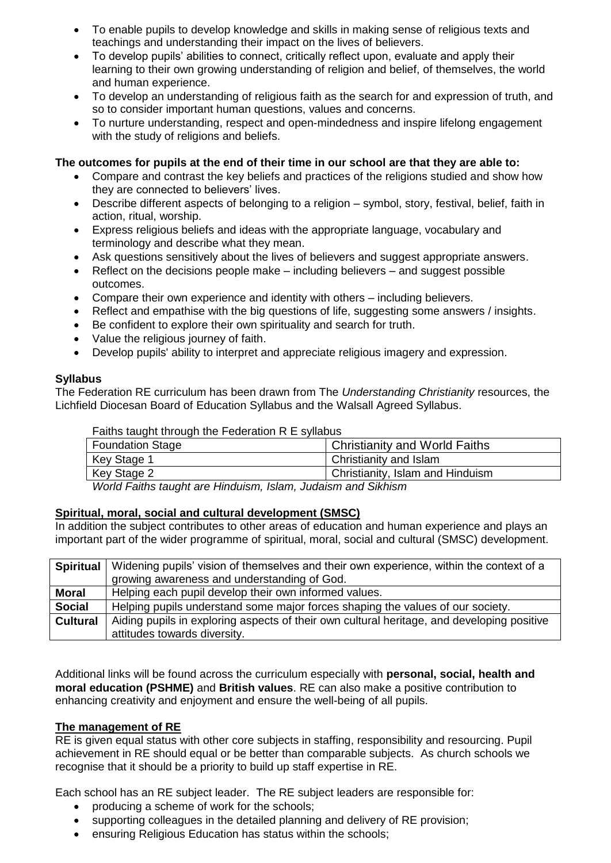- To enable pupils to develop knowledge and skills in making sense of religious texts and teachings and understanding their impact on the lives of believers.
- To develop pupils' abilities to connect, critically reflect upon, evaluate and apply their learning to their own growing understanding of religion and belief, of themselves, the world and human experience.
- To develop an understanding of religious faith as the search for and expression of truth, and so to consider important human questions, values and concerns.
- To nurture understanding, respect and open-mindedness and inspire lifelong engagement with the study of religions and beliefs.

### **The outcomes for pupils at the end of their time in our school are that they are able to:**

- Compare and contrast the key beliefs and practices of the religions studied and show how they are connected to believers' lives.
- Describe different aspects of belonging to a religion symbol, story, festival, belief, faith in action, ritual, worship.
- Express religious beliefs and ideas with the appropriate language, vocabulary and terminology and describe what they mean.
- Ask questions sensitively about the lives of believers and suggest appropriate answers.
- $\bullet$  Reflect on the decisions people make including believers and suggest possible outcomes.
- Compare their own experience and identity with others including believers.
- Reflect and empathise with the big questions of life, suggesting some answers / insights.
- Be confident to explore their own spirituality and search for truth.
- Value the religious journey of faith.
- Develop pupils' ability to interpret and appreciate religious imagery and expression.

#### **Syllabus**

The Federation RE curriculum has been drawn from The *Understanding Christianity* resources, the Lichfield Diocesan Board of Education Syllabus and the Walsall Agreed Syllabus.

Faiths taught through the Federation R E syllabus

| <b>Foundation Stage</b> | <b>Christianity and World Faiths</b> |
|-------------------------|--------------------------------------|
| Key Stage 1             | Christianity and Islam               |
| Key Stage 2             | Christianity, Islam and Hinduism     |
|                         |                                      |

*World Faiths taught are Hinduism, Islam, Judaism and Sikhism*

#### **Spiritual, moral, social and cultural development (SMSC)**

In addition the subject contributes to other areas of education and human experience and plays an important part of the wider programme of spiritual, moral, social and cultural (SMSC) development.

| <b>Spiritual</b> | Widening pupils' vision of themselves and their own experience, within the context of a    |
|------------------|--------------------------------------------------------------------------------------------|
|                  | growing awareness and understanding of God.                                                |
| <b>Moral</b>     | Helping each pupil develop their own informed values.                                      |
| <b>Social</b>    | Helping pupils understand some major forces shaping the values of our society.             |
| <b>Cultural</b>  | Aiding pupils in exploring aspects of their own cultural heritage, and developing positive |
|                  | attitudes towards diversity.                                                               |

Additional links will be found across the curriculum especially with **personal, social, health and moral education (PSHME)** and **British values**. RE can also make a positive contribution to enhancing creativity and enjoyment and ensure the well-being of all pupils.

#### **The management of RE**

RE is given equal status with other core subjects in staffing, responsibility and resourcing. Pupil achievement in RE should equal or be better than comparable subjects. As church schools we recognise that it should be a priority to build up staff expertise in RE.

Each school has an RE subject leader. The RE subject leaders are responsible for:

- producing a scheme of work for the schools;
- supporting colleagues in the detailed planning and delivery of RE provision;
- ensuring Religious Education has status within the schools;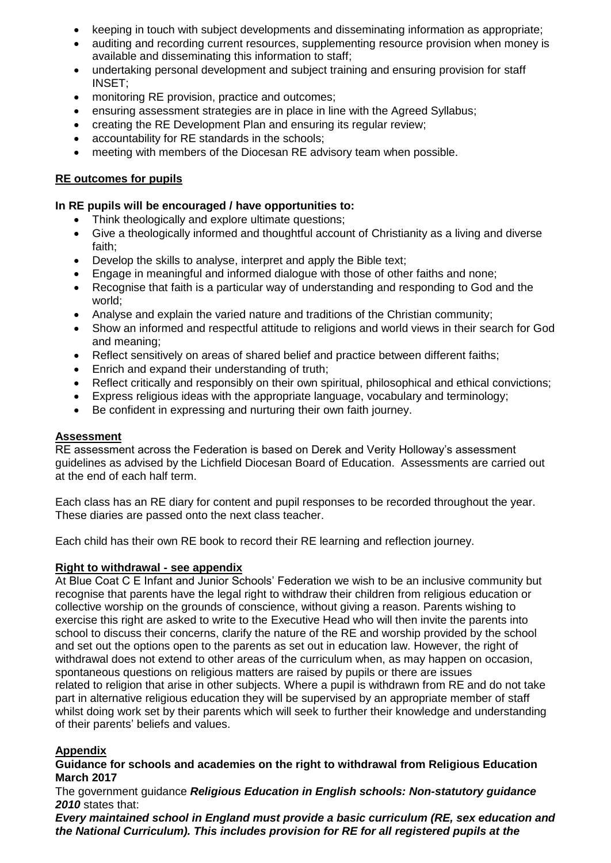- keeping in touch with subject developments and disseminating information as appropriate;
- auditing and recording current resources, supplementing resource provision when money is available and disseminating this information to staff;
- undertaking personal development and subject training and ensuring provision for staff INSET;
- monitoring RE provision, practice and outcomes:
- ensuring assessment strategies are in place in line with the Agreed Syllabus;
- creating the RE Development Plan and ensuring its regular review;
- accountability for RE standards in the schools;
- meeting with members of the Diocesan RE advisory team when possible.

## **RE outcomes for pupils**

#### **In RE pupils will be encouraged / have opportunities to:**

- Think theologically and explore ultimate questions;
- Give a theologically informed and thoughtful account of Christianity as a living and diverse faith;
- Develop the skills to analyse, interpret and apply the Bible text;
- Engage in meaningful and informed dialogue with those of other faiths and none;
- Recognise that faith is a particular way of understanding and responding to God and the world;
- Analyse and explain the varied nature and traditions of the Christian community;
- Show an informed and respectful attitude to religions and world views in their search for God and meaning;
- Reflect sensitively on areas of shared belief and practice between different faiths;
- **Enrich and expand their understanding of truth;**
- Reflect critically and responsibly on their own spiritual, philosophical and ethical convictions;
- Express religious ideas with the appropriate language, vocabulary and terminology;
- Be confident in expressing and nurturing their own faith journey.

#### **Assessment**

RE assessment across the Federation is based on Derek and Verity Holloway's assessment guidelines as advised by the Lichfield Diocesan Board of Education. Assessments are carried out at the end of each half term.

Each class has an RE diary for content and pupil responses to be recorded throughout the year. These diaries are passed onto the next class teacher.

Each child has their own RE book to record their RE learning and reflection journey.

#### **Right to withdrawal - see appendix**

At Blue Coat C E Infant and Junior Schools' Federation we wish to be an inclusive community but recognise that parents have the legal right to withdraw their children from religious education or collective worship on the grounds of conscience, without giving a reason. Parents wishing to exercise this right are asked to write to the Executive Head who will then invite the parents into school to discuss their concerns, clarify the nature of the RE and worship provided by the school and set out the options open to the parents as set out in education law. However, the right of withdrawal does not extend to other areas of the curriculum when, as may happen on occasion, spontaneous questions on religious matters are raised by pupils or there are issues related to religion that arise in other subjects. Where a pupil is withdrawn from RE and do not take part in alternative religious education they will be supervised by an appropriate member of staff whilst doing work set by their parents which will seek to further their knowledge and understanding of their parents' beliefs and values.

#### **Appendix**

#### **Guidance for schools and academies on the right to withdrawal from Religious Education March 2017**

The government guidance *Religious Education in English schools: Non-statutory guidance 2010* states that:

*Every maintained school in England must provide a basic curriculum (RE, sex education and the National Curriculum). This includes provision for RE for all registered pupils at the*